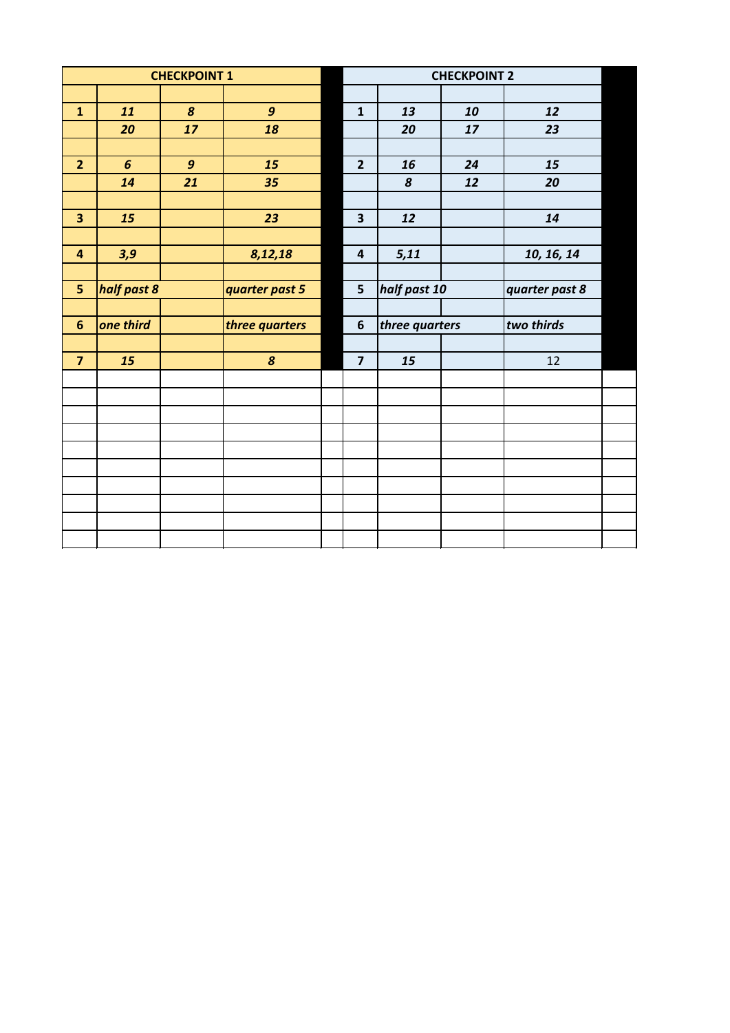| <b>CHECKPOINT 1</b>     |                  |                  |                  | <b>CHECKPOINT 2</b>     |                |    |                |  |  |  |
|-------------------------|------------------|------------------|------------------|-------------------------|----------------|----|----------------|--|--|--|
|                         |                  |                  |                  |                         |                |    |                |  |  |  |
| $\mathbf{1}$            | 11               | $\boldsymbol{8}$ | $\boldsymbol{g}$ | $\mathbf{1}$            | 13             | 10 | 12             |  |  |  |
|                         | 20               | 17               | 18               |                         | 20             | 17 | 23             |  |  |  |
|                         |                  |                  |                  |                         |                |    |                |  |  |  |
| $\overline{2}$          | $6\overline{6}$  | $\mathbf{9}$     | 15               | $\overline{2}$          | 16             | 24 | 15             |  |  |  |
|                         | 14               | 21               | 35               |                         | $\pmb{8}$      | 12 | 20             |  |  |  |
|                         |                  |                  |                  |                         |                |    |                |  |  |  |
| 3                       | 15               |                  | 23               | $\overline{\mathbf{3}}$ | 12             |    | 14             |  |  |  |
|                         |                  |                  |                  |                         |                |    |                |  |  |  |
| $\overline{\mathbf{4}}$ | 3,9              |                  | 8,12,18          | $\overline{\mathbf{4}}$ | 5,11           |    | 10, 16, 14     |  |  |  |
|                         |                  |                  |                  |                         |                |    |                |  |  |  |
|                         | half past 8<br>5 |                  | quarter past 5   | $5\phantom{a}$          | half past 10   |    | quarter past 8 |  |  |  |
|                         |                  |                  |                  |                         |                |    |                |  |  |  |
| $6\phantom{1}6$         | one third        |                  | three quarters   | 6                       | three quarters |    | two thirds     |  |  |  |
|                         |                  |                  |                  |                         |                |    |                |  |  |  |
| $\overline{7}$          | 15               |                  | $\boldsymbol{8}$ | $\overline{7}$          | 15             |    | 12             |  |  |  |
|                         |                  |                  |                  |                         |                |    |                |  |  |  |
|                         |                  |                  |                  |                         |                |    |                |  |  |  |
|                         |                  |                  |                  |                         |                |    |                |  |  |  |
|                         |                  |                  |                  |                         |                |    |                |  |  |  |
|                         |                  |                  |                  |                         |                |    |                |  |  |  |
|                         |                  |                  |                  |                         |                |    |                |  |  |  |
|                         |                  |                  |                  |                         |                |    |                |  |  |  |
|                         |                  |                  |                  |                         |                |    |                |  |  |  |
|                         |                  |                  |                  |                         |                |    |                |  |  |  |
|                         |                  |                  |                  |                         |                |    |                |  |  |  |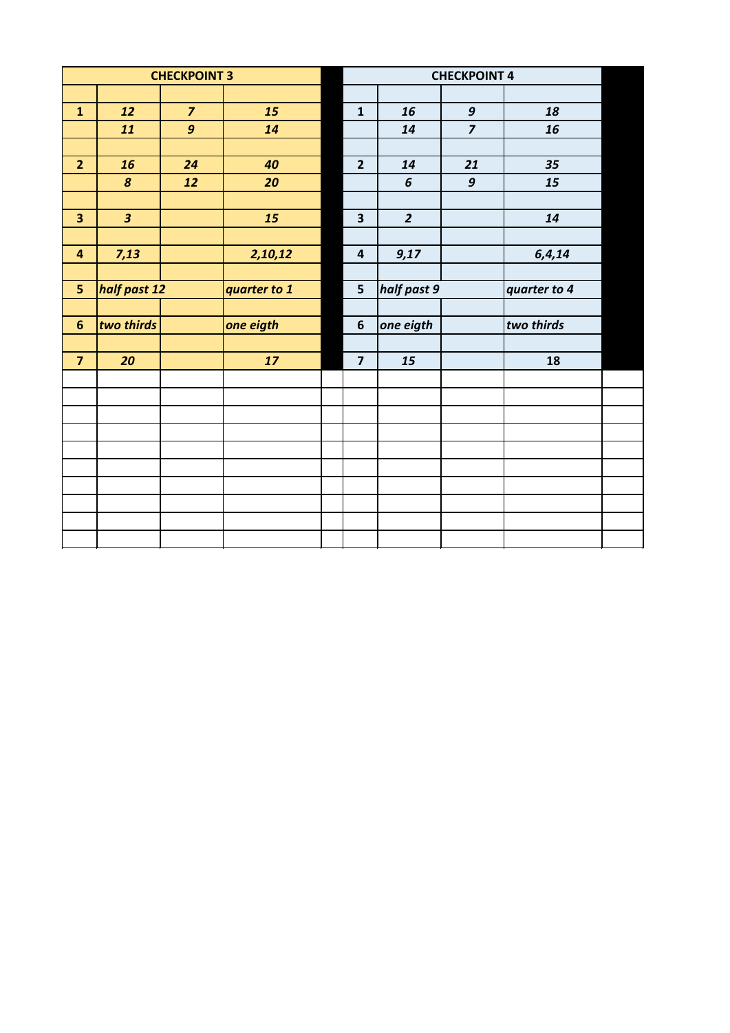| <b>CHECKPOINT 3</b>     |                         |                  | <b>CHECKPOINT 4</b> |                         |                |                  |              |  |
|-------------------------|-------------------------|------------------|---------------------|-------------------------|----------------|------------------|--------------|--|
|                         |                         |                  |                     |                         |                |                  |              |  |
| $\mathbf{1}$            | 12                      | $\overline{z}$   | 15                  | $\mathbf{1}$            | 16             | $\boldsymbol{g}$ | 18           |  |
|                         | 11                      | $\boldsymbol{g}$ | 14                  |                         | 14             | $\overline{7}$   | 16           |  |
|                         |                         |                  |                     |                         |                |                  |              |  |
| $\overline{2}$          | 16                      | 24               | 40                  | $\overline{2}$          | 14             | 21               | 35           |  |
|                         | $\boldsymbol{8}$        | 12               | 20                  |                         | $\pmb{6}$      | $\boldsymbol{g}$ | 15           |  |
|                         |                         |                  |                     |                         |                |                  |              |  |
| $\overline{\mathbf{3}}$ | $\overline{\mathbf{3}}$ |                  | 15                  | $\overline{\mathbf{3}}$ | $\overline{2}$ |                  | 14           |  |
|                         |                         |                  |                     |                         |                |                  |              |  |
| $\overline{\mathbf{4}}$ | 7,13                    |                  | 2,10,12             | $\overline{\mathbf{4}}$ | 9,17           |                  | 6, 4, 14     |  |
|                         |                         |                  |                     |                         |                |                  |              |  |
| 5                       | half past 12            |                  | quarter to 1        | 5                       | half past 9    |                  | quarter to 4 |  |
|                         |                         |                  |                     |                         |                |                  |              |  |
| $6\phantom{1}6$         | two thirds              |                  | one eigth           | $\boldsymbol{6}$        | one eigth      |                  | two thirds   |  |
|                         |                         |                  |                     |                         |                |                  |              |  |
| $\overline{\mathbf{z}}$ | 20                      |                  | 17                  | $\overline{\mathbf{z}}$ | 15             |                  | 18           |  |
|                         |                         |                  |                     |                         |                |                  |              |  |
|                         |                         |                  |                     |                         |                |                  |              |  |
|                         |                         |                  |                     |                         |                |                  |              |  |
|                         |                         |                  |                     |                         |                |                  |              |  |
|                         |                         |                  |                     |                         |                |                  |              |  |
|                         |                         |                  |                     |                         |                |                  |              |  |
|                         |                         |                  |                     |                         |                |                  |              |  |
|                         |                         |                  |                     |                         |                |                  |              |  |
|                         |                         |                  |                     |                         |                |                  |              |  |
|                         |                         |                  |                     |                         |                |                  |              |  |